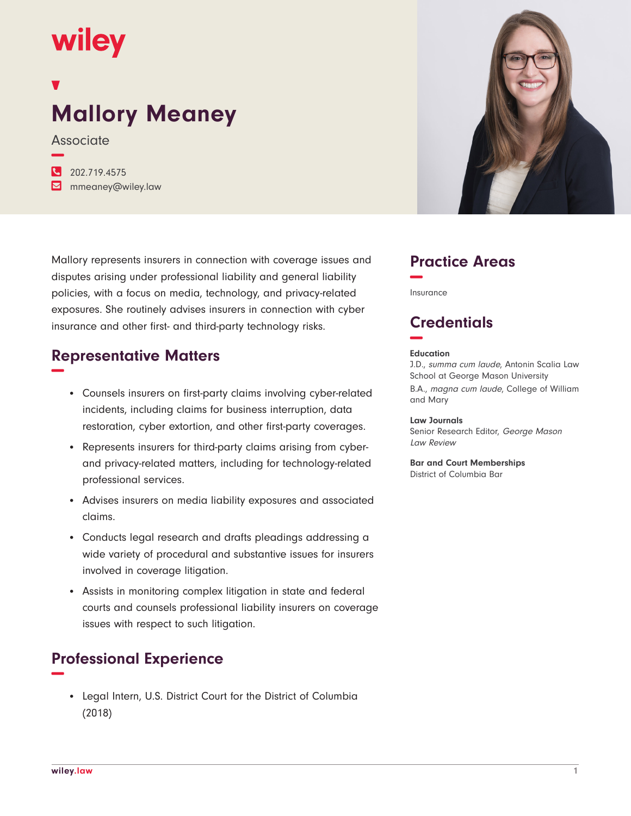# **wiley**

# **Mallory Meaney**

**Associate** 

**−**

| $\frac{1}{202.719.4575}$           |
|------------------------------------|
| $\triangleright$ mmeaney@wiley.law |

Mallory represents insurers in connection with coverage issues and disputes arising under professional liability and general liability policies, with a focus on media, technology, and privacy-related exposures. She routinely advises insurers in connection with cyber insurance and other first- and third-party technology risks.

#### **Representative Matters −**

- Counsels insurers on first-party claims involving cyber-related incidents, including claims for business interruption, data restoration, cyber extortion, and other first-party coverages.
- Represents insurers for third-party claims arising from cyberand privacy-related matters, including for technology-related professional services.
- Advises insurers on media liability exposures and associated claims.
- Conducts legal research and drafts pleadings addressing a wide variety of procedural and substantive issues for insurers involved in coverage litigation.
- Assists in monitoring complex litigation in state and federal courts and counsels professional liability insurers on coverage issues with respect to such litigation.

## **Professional Experience −**

• Legal Intern, U.S. District Court for the District of Columbia (2018)



#### **Practice Areas −**

Insurance

## **Credentials −**

#### **Education**

and Mary

J.D., summa cum laude, Antonin Scalia Law School at George Mason University B.A., magna cum laude, College of William

#### **Law Journals**

Senior Research Editor, George Mason Law Review

#### **Bar and Court Memberships**

District of Columbia Bar